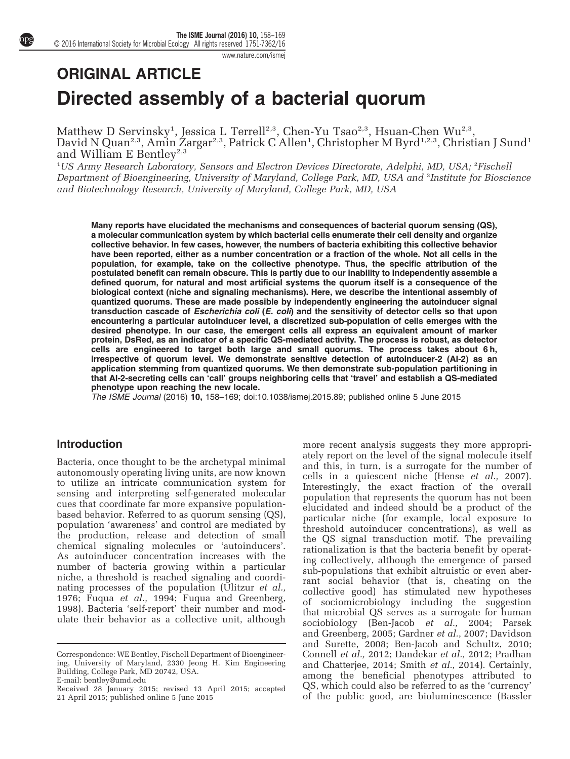[www.nature.com/ismej](http://www.nature.com/ismej)

# ORIGINAL ARTICLE Directed assembly of a bacterial quorum

Matthew D Servinsky<sup>1</sup>, Jessica L Terrell<sup>2,3</sup>, Chen-Yu Tsao<sup>2,3</sup>, Hsuan-Chen Wu<sup>2,3</sup>, David N Quan<sup>2,3</sup>, Amin Zargar<sup>2,3</sup>, Patrick C Allen<sup>1</sup>, Christopher M Byrd<sup>1,2,3</sup>, Christian J Sund<sup>1</sup> and William E Bentley<sup>2,3</sup>

<sup>1</sup>US Army Research Laboratory, Sensors and Electron Devices Directorate, Adelphi, MD, USA; <sup>2</sup>Fischell Department of Bioengineering, University of Maryland, College Park, MD, USA and <sup>3</sup> Institute for Bioscience and Biotechnology Research, University of Maryland, College Park, MD, USA

Many reports have elucidated the mechanisms and consequences of bacterial quorum sensing (QS), a molecular communication system by which bacterial cells enumerate their cell density and organize collective behavior. In few cases, however, the numbers of bacteria exhibiting this collective behavior have been reported, either as a number concentration or a fraction of the whole. Not all cells in the population, for example, take on the collective phenotype. Thus, the specific attribution of the postulated benefit can remain obscure. This is partly due to our inability to independently assemble a defined quorum, for natural and most artificial systems the quorum itself is a consequence of the biological context (niche and signaling mechanisms). Here, we describe the intentional assembly of quantized quorums. These are made possible by independently engineering the autoinducer signal transduction cascade of Escherichia coli (E. coli) and the sensitivity of detector cells so that upon encountering a particular autoinducer level, a discretized sub-population of cells emerges with the desired phenotype. In our case, the emergent cells all express an equivalent amount of marker protein, DsRed, as an indicator of a specific QS-mediated activity. The process is robust, as detector cells are engineered to target both large and small quorums. The process takes about 6 h, irrespective of quorum level. We demonstrate sensitive detection of autoinducer-2 (AI-2) as an application stemming from quantized quorums. We then demonstrate sub-population partitioning in that AI-2-secreting cells can 'call' groups neighboring cells that 'travel' and establish a QS-mediated phenotype upon reaching the new locale.

The ISME Journal (2016) 10, 158–169; doi:[10.1038/ismej.2015.89;](http://dx.doi.org/10.1038/ismej.2015.89) published online 5 June 2015

## Introduction

Bacteria, once thought to be the archetypal minimal autonomously operating living units, are now known to utilize an intricate communication system for sensing and interpreting self-generated molecular cues that coordinate far more expansive populationbased behavior. Referred to as quorum sensing (QS), population 'awareness' and control are mediated by the production, release and detection of small chemical signaling molecules or 'autoinducers'. As autoinducer concentration increases with the number of bacteria growing within a particular niche, a threshold is reached signaling and coordi-nating processes of the population ([Ulitzur](#page-11-0) et al., [1976;](#page-11-0) [Fuqua](#page-10-0) et al., 1994; [Fuqua and Greenberg,](#page-10-0) [1998\)](#page-10-0). Bacteria 'self-report' their number and modulate their behavior as a collective unit, although

more recent analysis suggests they more appropriately report on the level of the signal molecule itself and this, in turn, is a surrogate for the number of cells in a quiescent niche (Hense [et al.,](#page-10-0) 2007). Interestingly, the exact fraction of the overall population that represents the quorum has not been elucidated and indeed should be a product of the particular niche (for example, local exposure to threshold autoinducer concentrations), as well as the QS signal transduction motif. The prevailing rationalization is that the bacteria benefit by operating collectively, although the emergence of parsed sub-populations that exhibit altruistic or even aberrant social behavior (that is, cheating on the collective good) has stimulated new hypotheses of sociomicrobiology including the suggestion that microbial QS serves as a surrogate for human sociobiology [\(Ben-Jacob](#page-10-0) et al., 2004; Parsek and Greenberg, 2005; Gardner et al., 2007; Davidson and Surette, 2008; [Ben-Jacob and Schultz, 2010;](#page-10-0) [Connell](#page-10-0) et al., 2012; [Dandekar](#page-10-0) et al., 2012; [Pradhan](#page-10-0) [and Chatterjee, 2014; Smith](#page-10-0) et al., 2014). Certainly, among the beneficial phenotypes attributed to QS, which could also be referred to as the 'currency' of the public good, are bioluminescence [\(Bassler](#page-9-0)

Correspondence: WE Bentley, Fischell Department of Bioengineering, University of Maryland, 2330 Jeong H. Kim Engineering Building, College Park, MD 20742, USA. E-mail: [bentley@umd.edu](mailto:bentley@umd.edu)

Received 28 January 2015; revised 13 April 2015; accepted 21 April 2015; published online 5 June 2015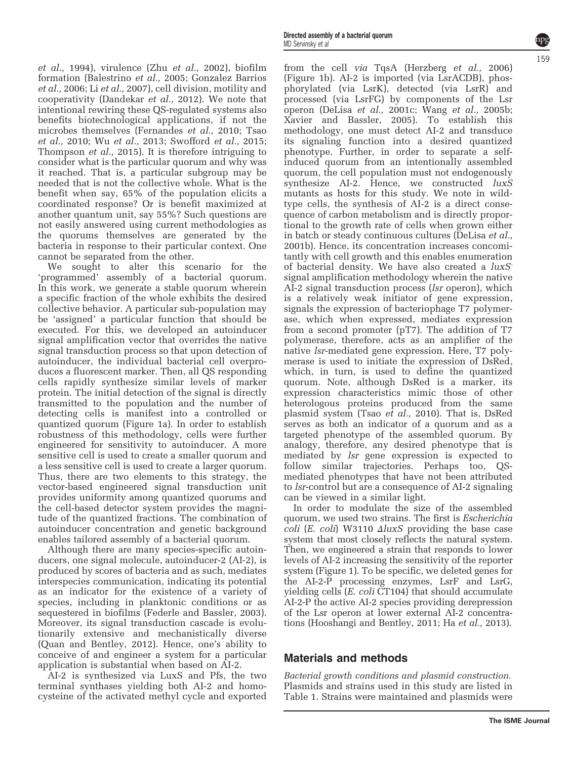[et al.,](#page-9-0) 1994), virulence (Zhu [et al.,](#page-11-0) 2002), biofilm formation [\(Balestrino](#page-9-0) et al., 2005; [Gonzalez Barrios](#page-10-0) [et al.,](#page-10-0) 2006; Li [et al.,](#page-10-0) 2007), cell division, motility and cooperativity ([Dandekar](#page-10-0) et al., 2012). We note that intentional rewiring these QS-regulated systems also benefits biotechnological applications, if not the microbes themselves [\(Fernandes](#page-10-0) *et al.*, 2010; Tsao et al., 2010; Wu et al., 2013; [Swofford](#page-11-0) et al., 2015; [Thompson](#page-11-0) et al., 2015). It is therefore intriguing to consider what is the particular quorum and why was it reached. That is, a particular subgroup may be needed that is not the collective whole. What is the benefit when say, 65% of the population elicits a coordinated response? Or is benefit maximized at another quantum unit, say 55%? Such questions are not easily answered using current methodologies as the quorums themselves are generated by the bacteria in response to their particular context. One cannot be separated from the other.

We sought to alter this scenario for the 'programmed' assembly of a bacterial quorum. In this work, we generate a stable quorum wherein a specific fraction of the whole exhibits the desired collective behavior. A particular sub-population may be 'assigned' a particular function that should be executed. For this, we developed an autoinducer signal amplification vector that overrides the native signal transduction process so that upon detection of autoinducer, the individual bacterial cell overproduces a fluorescent marker. Then, all QS responding cells rapidly synthesize similar levels of marker protein. The initial detection of the signal is directly transmitted to the population and the number of detecting cells is manifest into a controlled or quantized quorum ([Figure 1a](#page-2-0)). In order to establish robustness of this methodology, cells were further engineered for sensitivity to autoinducer. A more sensitive cell is used to create a smaller quorum and a less sensitive cell is used to create a larger quorum. Thus, there are two elements to this strategy, the vector-based engineered signal transduction unit provides uniformity among quantized quorums and the cell-based detector system provides the magnitude of the quantized fractions. The combination of autoinducer concentration and genetic background enables tailored assembly of a bacterial quorum.

Although there are many species-specific autoinducers, one signal molecule, autoinducer-2 (AI-2), is produced by scores of bacteria and as such, mediates interspecies communication, indicating its potential as an indicator for the existence of a variety of species, including in planktonic conditions or as sequestered in biofilms ([Federle and Bassler, 2003\)](#page-10-0). Moreover, its signal transduction cascade is evolutionarily extensive and mechanistically diverse ([Quan and Bentley, 2012\)](#page-10-0). Hence, one's ability to conceive of and engineer a system for a particular application is substantial when based on AI-2.

AI-2 is synthesized via LuxS and Pfs, the two terminal synthases yielding both AI-2 and homocysteine of the activated methyl cycle and exported 159

from the cell via TqsA ([Herzberg](#page-10-0) et al., 2006) ([Figure 1b](#page-2-0)). AI-2 is imported (via LsrACDB), phosphorylated (via LsrK), detected (via LsrR) and processed (via LsrFG) by components of the Lsr operon [\(DeLisa](#page-10-0) et al., 2001c; Wang [et al.,](#page-11-0) 2005b; [Xavier and Bassler, 2005\)](#page-11-0). To establish this methodology, one must detect AI-2 and transduce its signaling function into a desired quantized phenotype. Further, in order to separate a selfinduced quorum from an intentionally assembled quorum, the cell population must not endogenously synthesize AI-2. Hence, we constructed  $luxS$ mutants as hosts for this study. We note in wildtype cells, the synthesis of AI-2 is a direct consequence of carbon metabolism and is directly proportional to the growth rate of cells when grown either in batch or steady continuous cultures [\(DeLisa](#page-10-0) et al., [2001b](#page-10-0)). Hence, its concentration increases concomitantly with cell growth and this enables enumeration of bacterial density. We have also created a *luxS* signal amplification methodology wherein the native AI-2 signal transduction process (lsr operon), which is a relatively weak initiator of gene expression, signals the expression of bacteriophage T7 polymerase, which when expressed, mediates expression from a second promoter (pT7). The addition of T7 polymerase, therefore, acts as an amplifier of the native *lsr*-mediated gene expression. Here, T7 polymerase is used to initiate the expression of DsRed, which, in turn, is used to define the quantized quorum. Note, although DsRed is a marker, its expression characteristics mimic those of other heterologous proteins produced from the same plasmid system (Tsao [et al.,](#page-11-0) 2010). That is, DsRed serves as both an indicator of a quorum and as a targeted phenotype of the assembled quorum. By analogy, therefore, any desired phenotype that is mediated by lsr gene expression is expected to follow similar trajectories. Perhaps too, QSmediated phenotypes that have not been attributed to *lsr*-control but are a consequence of AI-2 signaling can be viewed in a similar light.

In order to modulate the size of the assembled quorum, we used two strains. The first is Escherichia coli (E. coli) W3110  $\Delta$ luxS providing the base case system that most closely reflects the natural system. Then, we engineered a strain that responds to lower levels of AI-2 increasing the sensitivity of the reporter system [\(Figure 1\)](#page-2-0). To be specific, we deleted genes for the AI-2-P processing enzymes, LsrF and LsrG, yielding cells  $(E. \text{ coli} CT104)$  that should accumulate AI-2-P the active AI-2 species providing derepression of the Lsr operon at lower external AI-2 concentrations [\(Hooshangi and Bentley, 2011](#page-10-0); Ha [et al.,](#page-10-0) 2013).

# Materials and methods

Bacterial growth conditions and plasmid construction. Plasmids and strains used in this study are listed in [Table 1](#page-3-0). Strains were maintained and plasmids were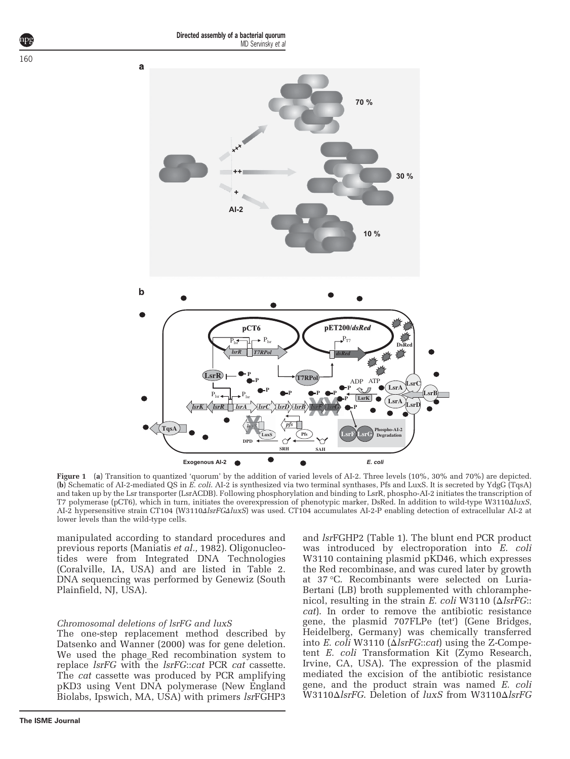<span id="page-2-0"></span>a **70 % ++ 30 % + AI-2 10 %** b pET200/dsRea pCT6  $P_{T7}$  $\rightarrow$  P. **DsRed**  $\frac{1}{27}$ *dsRed* **P LsrR** 7<sub>RP</sub> **P** ADP ATI  $L$ **srA P <sup>P</sup> <sup>P</sup> <sup>P</sup>**  $P \rightarrow P$   $\leftarrow$   $\leftarrow$   $\leftarrow$   $\leftarrow$   $\leftarrow$   $\leftarrow$   $\leftarrow$   $\leftarrow$   $\leftarrow$   $\leftarrow$   $\leftarrow$   $\leftarrow$   $\leftarrow$   $\leftarrow$   $\leftarrow$   $\leftarrow$   $\leftarrow$   $\leftarrow$   $\leftarrow$   $\leftarrow$   $\leftarrow$   $\leftarrow$   $\leftarrow$   $\leftarrow$   $\leftarrow$   $\leftarrow$   $\leftarrow$   $\leftarrow$   $\leftarrow$   $\leftarrow$   $\leftarrow$   $\leftarrow$   $\leftarrow$   $\leftarrow$   $\leftarrow$   $\leftarrow$  $P_{\text{lsr}} \leftarrow \downarrow P_{\text{lsr}}$ **P LsrD LsrA** *lsrK*  $l$ *srR lsrA*  $\sqrt{lsrC}$   $\sqrt{lsrD}$   $\sqrt{lsrB}$   $\sqrt{lsrC}$   $\rightarrow$  P *pfs* **TqsA LsrF LsrG Phospho-AI-2 LuxS Pfs Degradation DPD SRH SAH Exogenous AI-2** *E. coli*

Directed assembly of a bacterial quorum

MD Servinsky et al

Figure 1 (a) Transition to quantized 'quorum' by the addition of varied levels of AI-2. Three levels (10%, 30% and 70%) are depicted. (b) Schematic of AI-2-mediated QS in E. coli. AI-2 is synthesized via two terminal synthases, Pfs and LuxS. It is secreted by YdgG (TqsA) and taken up by the Lsr transporter (LsrACDB). Following phosphorylation and binding to LsrR, phospho-AI-2 initiates the transcription of T7 polymerase (pCT6), which in turn, initiates the overexpression of phenotypic marker, DsRed. In addition to wild-type W3110ΔluxS, AI-2 hypersensitive strain CT104 (W3110ΔlsrFGΔluxS) was used. CT104 accumulates AI-2-P enabling detection of extracellular AI-2 at lower levels than the wild-type cells.

manipulated according to standard procedures and previous reports [\(Maniatis](#page-10-0) et al., 1982). Oligonucleotides were from Integrated DNA Technologies (Coralville, IA, USA) and are listed in [Table 2.](#page-4-0) DNA sequencing was performed by Genewiz (South Plainfield, NJ, USA).

#### Chromosomal deletions of lsrFG and luxS

The one-step replacement method described by [Datsenko and Wanner \(2000](#page-10-0)) was for gene deletion. We used the phage\_Red recombination system to replace lsrFG with the lsrFG::cat PCR cat cassette. The cat cassette was produced by PCR amplifying pKD3 using Vent DNA polymerase (New England Biolabs, Ipswich, MA, USA) with primers lsrFGHP3 and lsrFGHP2 ([Table 1\)](#page-3-0). The blunt end PCR product was introduced by electroporation into E. coli W3110 containing plasmid pKD46, which expresses the Red recombinase, and was cured later by growth at 37 °C. Recombinants were selected on Luria-Bertani (LB) broth supplemented with chloramphenicol, resulting in the strain E. coli W3110 ( $\Delta l$ srFG:: cat). In order to remove the antibiotic resistance gene, the plasmid 707FLPe (tet<sup>r</sup>) (Gene Bridges, Heidelberg, Germany) was chemically transferred into E. coli W3110 ( $\Delta \text{lsrFG::cat}$ ) using the Z-Competent E. coli Transformation Kit (Zymo Research, Irvine, CA, USA). The expression of the plasmid mediated the excision of the antibiotic resistance gene, and the product strain was named E. coli W3110ΔlsrFG. Deletion of luxS from W3110ΔlsrFG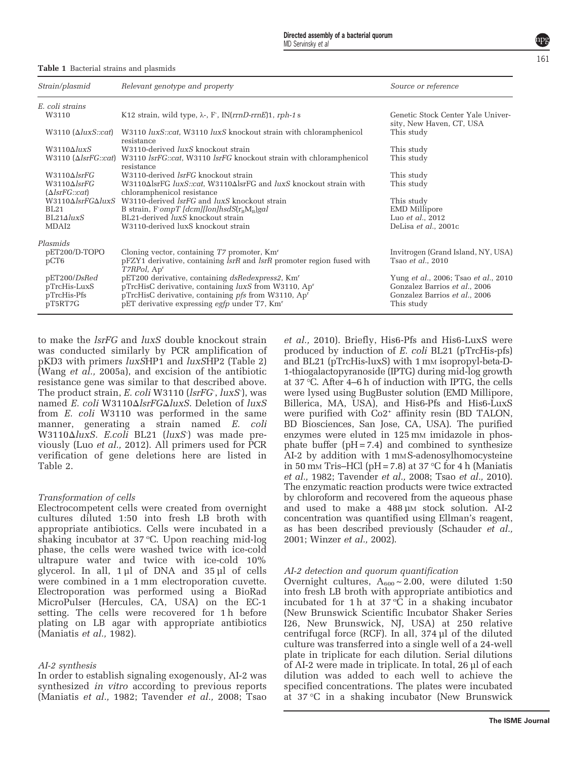<span id="page-3-0"></span>

| Strain/plasmid                               | Relevant genotype and property                                                                   | Source or reference                                           |
|----------------------------------------------|--------------------------------------------------------------------------------------------------|---------------------------------------------------------------|
| E. coli strains                              |                                                                                                  |                                                               |
| W3110                                        | K12 strain, wild type, $\lambda$ -, F <sup>-</sup> , IN( $rrnD-rrnE$ )1, $rph-1s$                | Genetic Stock Center Yale Univer-<br>sity, New Haven, CT, USA |
| W3110 $(\Delta luxS::cat)$                   | W3110 <i>luxS::cat</i> , W3110 <i>luxS</i> knockout strain with chloramphenicol<br>resistance    | This study                                                    |
| $W3110\Delta luxS$                           | W3110-derived luxS knockout strain                                                               | This study                                                    |
| W3110 $(\Delta lsrFG::cat)$                  | W3110 lsrFG::cat, W3110 lsrFG knockout strain with chloramphenicol<br>resistance                 | This study                                                    |
| $W3110\Delta lsrFG$                          | W3110-derived <i>lsrFG</i> knockout strain                                                       | This study                                                    |
| $W3110\Delta lsrFG$<br>$(\Delta IsrFG::cat)$ | W3110ΔlsrFG luxS::cat, W3110ΔlsrFG and luxS knockout strain with<br>chloramphenicol resistance   | This study                                                    |
| $W3110\Delta lsrFG\Delta luxS$               | W3110-derived <i>lsrFG</i> and <i>luxS</i> knockout strain                                       | This study                                                    |
| BL21                                         | B strain, F ompT [dcm][lon]hsd $S(r_B M_B)$ gal                                                  | <b>EMD Millipore</b>                                          |
| $BL214$ luxS                                 | BL21-derived luxS knockout strain                                                                | Luo et al., 2012                                              |
| MDAI2                                        | W3110-derived luxS knockout strain                                                               | DeLisa et al., 2001c                                          |
| Plasmids                                     |                                                                                                  |                                                               |
| pET200/D-TOPO                                | Cloning vector, containing $T\bar{z}$ promoter, $Kmr$                                            | Invitrogen (Grand Island, NY, USA)                            |
| pCT <sub>6</sub>                             | pFZY1 derivative, containing lsrR and lsrR promoter region fused with<br>TZRPol, Ap <sup>r</sup> | Tsao <i>et al.</i> , 2010                                     |
| pET200/DsRed                                 | pET200 derivative, containing dsRedexpress2, Km <sup>r</sup>                                     | Yung et al., 2006; Tsao et al., 2010                          |
| pTrcHis-LuxS                                 | pTrcHisC derivative, containing $luxS$ from W3110, $Apr$                                         | Gonzalez Barrios et al., 2006                                 |
| pTrcHis-Pfs                                  | pTrcHisC derivative, containing pfs from W3110, Apr                                              | Gonzalez Barrios et al., 2006                                 |

pTrcHis-Pfs pTrcHisC derivative, containing pfs from W3110,  $Ap<sup>r</sup>$  Gonzalez E<br>pT5RT7G pET derivative expressing egfp under T7, Km<sup>r</sup> This study

pET derivative expressing egfp under T7, Km<sup>r</sup>

to make the *lsrFG* and *luxS* double knockout strain was conducted similarly by PCR amplification of pKD3 with primers luxSHP1 and luxSHP2 [\(Table 2\)](#page-4-0) (Wang et al., [2005a\)](#page-11-0), and excision of the antibiotic resistance gene was similar to that described above. The product strain, E. coli W3110 (lsrFG, luxS), was named E. coli W3110ΔlsrFGΔluxS. Deletion of luxS from E. coli W3110 was performed in the same manner, generating a strain named E. coli W3110ΔluxS. E.coli BL21 (luxS<sup>-</sup>) was made previously (Luo [et al.,](#page-10-0) 2012). All primers used for PCR verification of gene deletions here are listed in [Table 2.](#page-4-0)

## Transformation of cells

Electrocompetent cells were created from overnight cultures diluted 1:50 into fresh LB broth with appropriate antibiotics. Cells were incubated in a shaking incubator at 37 °C. Upon reaching mid-log phase, the cells were washed twice with ice-cold ultrapure water and twice with ice-cold 10% glycerol. In all, 1 μl of DNA and 35 μl of cells were combined in a 1 mm electroporation cuvette. Electroporation was performed using a BioRad MicroPulser (Hercules, CA, USA) on the EC-1 setting. The cells were recovered for 1 h before plating on LB agar with appropriate antibiotics ([Maniatis](#page-10-0) et al., 1982).

# AI-2 synthesis

In order to establish signaling exogenously, AI-2 was synthesized in vitro according to previous reports ([Maniatis](#page-10-0) et al., 1982; [Tavender](#page-11-0) et al., 2008; [Tsao](#page-11-0)

[et al.,](#page-11-0) 2010). Briefly, His6-Pfs and His6-LuxS were produced by induction of E. coli BL21 (pTrcHis-pfs) and BL21 (pTrcHis-luxS) with 1 mm isopropyl-beta-D-1-thiogalactopyranoside (IPTG) during mid-log growth at 37 °C. After 4–6 h of induction with IPTG, the cells were lysed using BugBuster solution (EMD Millipore, Billerica, MA, USA), and His6-Pfs and His6-LuxS were purified with Co<sub>2<sup>+</sup></sub> affinity resin (BD TALON, BD Biosciences, San Jose, CA, USA). The purified enzymes were eluted in  $125 \text{ mm}$  imidazole in phosphate buffer  $(pH = 7.4)$  and combined to synthesize AI-2 by addition with 1 mm S-adenosylhomocysteine in 50 mm Tris–HCl (pH = 7.8) at 37  $\rm{°C}$  for 4 h [\(Maniatis](#page-10-0) [et al.,](#page-10-0) 1982; [Tavender](#page-11-0) et al., 2008; Tsao [et al.,](#page-11-0) 2010). The enzymatic reaction products were twice extracted by chloroform and recovered from the aqueous phase and used to make a 488 μ<sup>M</sup> stock solution. AI-2 concentration was quantified using Ellman's reagent, as has been described previously ([Schauder](#page-10-0) et al., [2001](#page-10-0); [Winzer](#page-11-0) et al., 2002).

## AI-2 detection and quorum quantification

Overnight cultures,  $A_{600} \sim 2.00$ , were diluted 1:50 into fresh LB broth with appropriate antibiotics and incubated for 1 h at  $37^{\circ}$ C in a shaking incubator (New Brunswick Scientific Incubator Shaker Series I26, New Brunswick, NJ, USA) at 250 relative centrifugal force (RCF). In all, 374 μl of the diluted culture was transferred into a single well of a 24-well plate in triplicate for each dilution. Serial dilutions of AI-2 were made in triplicate. In total, 26 μl of each dilution was added to each well to achieve the specified concentrations. The plates were incubated at 37 °C in a shaking incubator (New Brunswick

161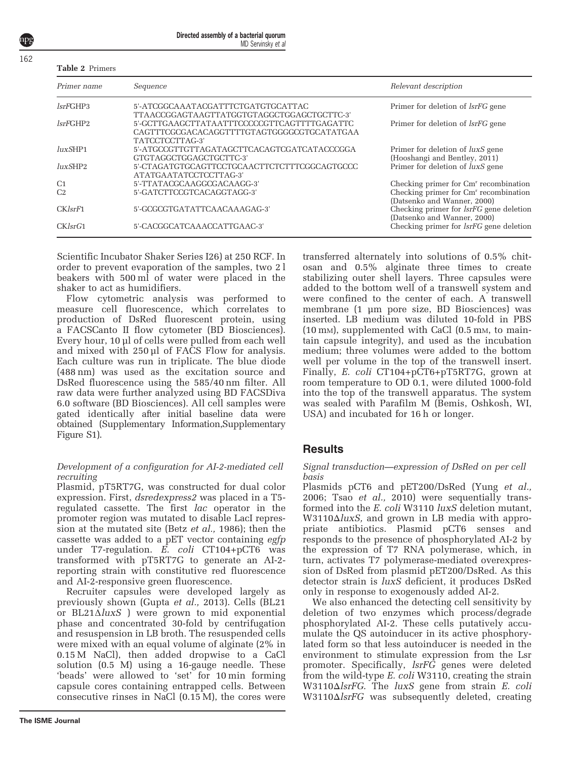Scientific Incubator Shaker Series I26) at 250 RCF. In order to prevent evaporation of the samples, two 2 l beakers with 500 ml of water were placed in the shaker to act as humidifiers.

Flow cytometric analysis was performed to measure cell fluorescence, which correlates to production of DsRed fluorescent protein, using a FACSCanto II flow cytometer (BD Biosciences). Every hour, 10 μl of cells were pulled from each well and mixed with 250 μl of FACS Flow for analysis. Each culture was run in triplicate. The blue diode (488 nm) was used as the excitation source and DsRed fluorescence using the 585/40 nm filter. All raw data were further analyzed using BD FACSDiva 6.0 software (BD Biosciences). All cell samples were gated identically after initial baseline data were obtained (Supplementary Information,Supplementary Figure S1).

# Development of a configuration for AI-2-mediated cell recruiting

Plasmid, pT5RT7G, was constructed for dual color expression. First, dsredexpress2 was placed in a T5 regulated cassette. The first lac operator in the promoter region was mutated to disable LacI repression at the mutated site (Betz [et al.,](#page-10-0) 1986); then the cassette was added to a pET vector containing egfp under T7-regulation. E. coli CT104+pCT6 was transformed with pT5RT7G to generate an AI-2 reporting strain with constitutive red fluorescence and AI-2-responsive green fluorescence.

Recruiter capsules were developed largely as previously shown ([Gupta](#page-10-0) et al., 2013). Cells (BL21 or BL21ΔluxS ) were grown to mid exponential phase and concentrated 30-fold by centrifugation and resuspension in LB broth. The resuspended cells were mixed with an equal volume of alginate (2% in 0.15 M NaCl), then added dropwise to a CaCl solution (0.5 M) using a 16-gauge needle. These 'beads' were allowed to 'set' for 10 min forming capsule cores containing entrapped cells. Between consecutive rinses in NaCl (0.15 M), the cores were

transferred alternately into solutions of 0.5% chitosan and 0.5% alginate three times to create stabilizing outer shell layers. Three capsules were added to the bottom well of a transwell system and were confined to the center of each. A transwell membrane (1 μm pore size, BD Biosciences) was inserted. LB medium was diluted 10-fold in PBS  $(10 \text{ mm})$ , supplemented with CaCl  $(0.5 \text{ mm})$ , to maintain capsule integrity), and used as the incubation medium; three volumes were added to the bottom well per volume in the top of the transwell insert. Finally, E. coli CT104+pCT6+pT5RT7G, grown at room temperature to OD 0.1, were diluted 1000-fold into the top of the transwell apparatus. The system was sealed with Parafilm M (Bemis, Oshkosh, WI, USA) and incubated for 16 h or longer.

# **Results**

#### Signal transduction—expression of DsRed on per cell basis

Plasmids pCT6 and pET200/DsRed (Yung et al., 2006; Tsao [et al.,](#page-11-0) 2010) were sequentially transformed into the *E. coli* W3110 *luxS* deletion mutant, W3110ΔluxS, and grown in LB media with appropriate antibiotics. Plasmid pCT6 senses and responds to the presence of phosphorylated AI-2 by the expression of T7 RNA polymerase, which, in turn, activates T7 polymerase-mediated overexpression of DsRed from plasmid pET200/DsRed. As this detector strain is luxS deficient, it produces DsRed only in response to exogenously added AI-2.

We also enhanced the detecting cell sensitivity by deletion of two enzymes which process/degrade phosphorylated AI-2. These cells putatively accumulate the QS autoinducer in its active phosphorylated form so that less autoinducer is needed in the environment to stimulate expression from the Lsr promoter. Specifically, lsrFG genes were deleted from the wild-type E. coli W3110, creating the strain W3110ΔlsrFG. The luxS gene from strain E. coli W3110ΔlsrFG was subsequently deleted, creating

<span id="page-4-0"></span>Table 2 Primers

| Primer name                      | Sequence                                                                                                     | Relevant description                                                                                         |
|----------------------------------|--------------------------------------------------------------------------------------------------------------|--------------------------------------------------------------------------------------------------------------|
| lsrFGHP3                         | 5'-ATCGGCAAATACGATTTCTGATGTGCATTAC<br>TTAACCGGAGTAAGTTATGGTGTAGGCTGGAGCTGCTTC-3'                             | Primer for deletion of <i>lsrFG</i> gene                                                                     |
| $lsr$ FGHP2                      | 5'-GCTTGAAGCTTATAATTTCCCCCGTTCAGTTTTGAGATTC<br>CAGTTTCGCGACACAGGTTTTGTAGTGGGGCGTGCATATGAA<br>TATCCTCCTTAG-3' | Primer for deletion of <i>lsrFG</i> gene                                                                     |
| luxSHP1                          | 5'-ATGCCGTTGTTAGATAGCTTCACAGTCGATCATACCCGGA<br>GTGTAGGCTGGAGCTGCTTC-3'                                       | Primer for deletion of <i>luxS</i> gene<br>(Hooshangi and Bentley, 2011)                                     |
| luxSHP2                          | 5'-CTAGATGTGCAGTTCCTGCAACTTCTCTTTCGGCAGTGCCC<br>ATATGAATATCCTCCTTAG-3'                                       | Primer for deletion of luxS gene                                                                             |
| C <sub>1</sub><br>C <sub>2</sub> | 5'-TTATACGCAAGGCGACAAGG-3'<br>5'-GATCTTCCGTCACAGGTAGG-3'                                                     | Checking primer for $\mathrm{Cm}^r$ recombination<br>Checking primer for Cm <sup>r</sup> recombination       |
| CKlsrF1                          | 5'-GCGCGTGATATTCAACAAAGAG-3'                                                                                 | (Datsenko and Wanner, 2000)<br>Checking primer for <i>lsrFG</i> gene deletion<br>(Datsenko and Wanner, 2000) |
| CKlsrG1                          | 5'-CACGGCATCAAACCATTGAAC-3'                                                                                  | Checking primer for <i>lsrFG</i> gene deletion                                                               |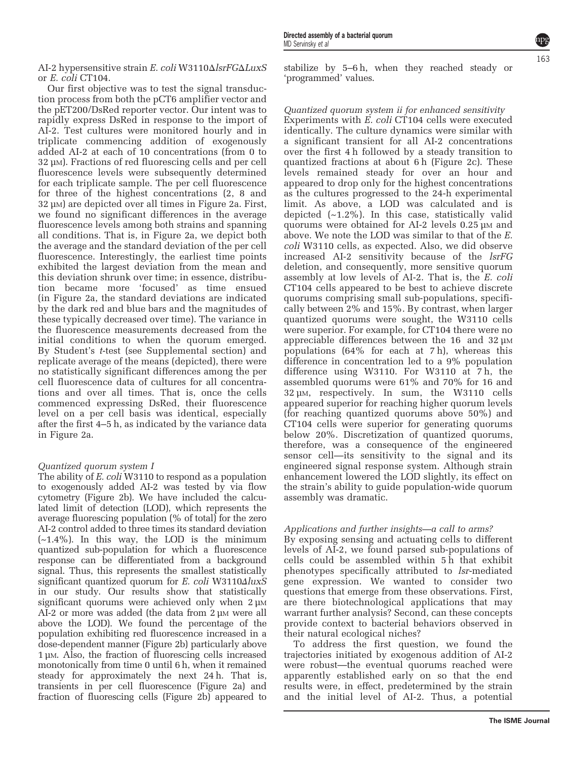Directed assembly of a bacterial quorum

MD Servinsky et al

163

AI-2 hypersensitive strain E. coli W3110ΔlsrFGΔLuxS or E. coli CT104.

Our first objective was to test the signal transduction process from both the pCT6 amplifier vector and the pET200/DsRed reporter vector. Our intent was to rapidly express DsRed in response to the import of AI-2. Test cultures were monitored hourly and in triplicate commencing addition of exogenously added AI-2 at each of 10 concentrations (from 0 to 32 μM). Fractions of red fluorescing cells and per cell fluorescence levels were subsequently determined for each triplicate sample. The per cell fluorescence for three of the highest concentrations (2, 8 and 32 μM) are depicted over all times in [Figure 2a.](#page-6-0) First, we found no significant differences in the average fluorescence levels among both strains and spanning all conditions. That is, in [Figure 2a](#page-6-0), we depict both the average and the standard deviation of the per cell fluorescence. Interestingly, the earliest time points exhibited the largest deviation from the mean and this deviation shrunk over time; in essence, distribution became more 'focused' as time ensued (in [Figure 2a](#page-6-0), the standard deviations are indicated by the dark red and blue bars and the magnitudes of these typically decreased over time). The variance in the fluorescence measurements decreased from the initial conditions to when the quorum emerged. By Student's t-test (see Supplemental section) and replicate average of the means (depicted), there were no statistically significant differences among the per cell fluorescence data of cultures for all concentrations and over all times. That is, once the cells commenced expressing DsRed, their fluorescence level on a per cell basis was identical, especially after the first 4–5 h, as indicated by the variance data in [Figure 2a](#page-6-0).

#### Quantized quorum system I

The ability of *E. coli* W3110 to respond as a population to exogenously added AI-2 was tested by via flow cytometry [\(Figure 2b\)](#page-6-0). We have included the calculated limit of detection (LOD), which represents the average fluorescing population (% of total) for the zero AI-2 control added to three times its standard deviation  $(-1.4\%)$ . In this way, the LOD is the minimum quantized sub-population for which a fluorescence response can be differentiated from a background signal. Thus, this represents the smallest statistically significant quantized quorum for E. coli W3110ΔluxS in our study. Our results show that statistically significant quorums were achieved only when  $2 \mu$ M AI-2 or more was added (the data from 2 μM were all above the LOD). We found the percentage of the population exhibiting red fluorescence increased in a dose-dependent manner ([Figure 2b](#page-6-0)) particularly above 1 μM. Also, the fraction of fluorescing cells increased monotonically from time 0 until 6 h, when it remained steady for approximately the next 24 h. That is, transients in per cell fluorescence [\(Figure 2a\)](#page-6-0) and fraction of fluorescing cells [\(Figure 2b\)](#page-6-0) appeared to stabilize by 5–6 h, when they reached steady or 'programmed' values.

Quantized quorum system ii for enhanced sensitivity Experiments with E. coli CT104 cells were executed identically. The culture dynamics were similar with a significant transient for all AI-2 concentrations over the first 4 h followed by a steady transition to quantized fractions at about 6 h [\(Figure 2c](#page-6-0)). These levels remained steady for over an hour and appeared to drop only for the highest concentrations as the cultures progressed to the 24-h experimental limit. As above, a LOD was calculated and is depicted (~1.2%). In this case, statistically valid quorums were obtained for AI-2 levels 0.25 μ<sup>M</sup> and above. We note the LOD was similar to that of the E. coli W3110 cells, as expected. Also, we did observe increased AI-2 sensitivity because of the lsrFG deletion, and consequently, more sensitive quorum assembly at low levels of AI-2. That is, the E. coli CT104 cells appeared to be best to achieve discrete quorums comprising small sub-populations, specifically between 2% and 15%. By contrast, when larger quantized quorums were sought, the W3110 cells were superior. For example, for CT104 there were no appreciable differences between the  $16$  and  $32 \mu$ M populations (64% for each at 7 h), whereas this difference in concentration led to a 9% population difference using W3110. For W3110 at 7 h, the assembled quorums were 61% and 70% for 16 and 32 μM, respectively. In sum, the W3110 cells appeared superior for reaching higher quorum levels (for reaching quantized quorums above 50%) and CT104 cells were superior for generating quorums below 20%. Discretization of quantized quorums, therefore, was a consequence of the engineered sensor cell—its sensitivity to the signal and its engineered signal response system. Although strain enhancement lowered the LOD slightly, its effect on the strain's ability to guide population-wide quorum assembly was dramatic.

#### Applications and further insights—a call to arms?

By exposing sensing and actuating cells to different levels of AI-2, we found parsed sub-populations of cells could be assembled within 5 h that exhibit phenotypes specifically attributed to lsr-mediated gene expression. We wanted to consider two questions that emerge from these observations. First, are there biotechnological applications that may warrant further analysis? Second, can these concepts provide context to bacterial behaviors observed in their natural ecological niches?

To address the first question, we found the trajectories initiated by exogenous addition of AI-2 were robust—the eventual quorums reached were apparently established early on so that the end results were, in effect, predetermined by the strain and the initial level of AI-2. Thus, a potential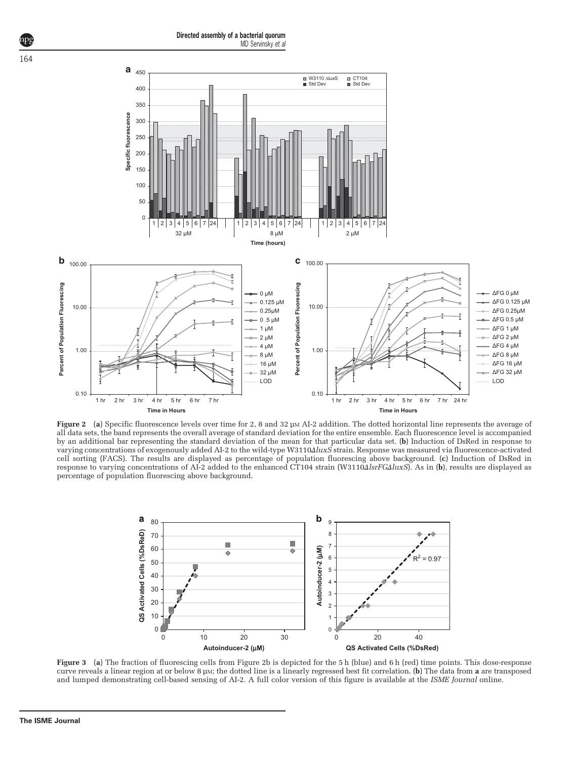<span id="page-6-0"></span>

Figure 2 (a) Specific fluorescence levels over time for 2, 8 and 32 μM AI-2 addition. The dotted horizontal line represents the average of all data sets, the band represents the overall average of standard deviation for the entire ensemble. Each fluorescence level is accompanied by an additional bar representing the standard deviation of the mean for that particular data set. (b) Induction of DsRed in response to varying concentrations of exogenously added AI-2 to the wild-type W3110ΔluxS strain. Response was measured via fluorescence-activated cell sorting (FACS). The results are displayed as percentage of population fluorescing above background. (c) Induction of DsRed in response to varying concentrations of AI-2 added to the enhanced CT104 strain (W3110ΔlsrFGΔluxS). As in (b), results are displayed as percentage of population fluorescing above background.

1 hr 2 hr 3 hr 4 hr 5 hr 6 hr 7 hr 24 hr

**Time in Hours**

1 hr 2 hr 3 hr 4 hr 5 hr 6 hr 7 hr

**Time in Hours**



Figure 3 (a) The fraction of fluorescing cells from Figure 2b is depicted for the 5 h (blue) and 6 h (red) time points. This dose-response curve reveals a linear region at or below 8 <sup>μ</sup>M; the dotted line is a linearly regressed best fit correlation. (b) The data from <sup>a</sup> are transposed and lumped demonstrating cell-based sensing of AI-2. A full color version of this figure is available at the ISME Journal online.

164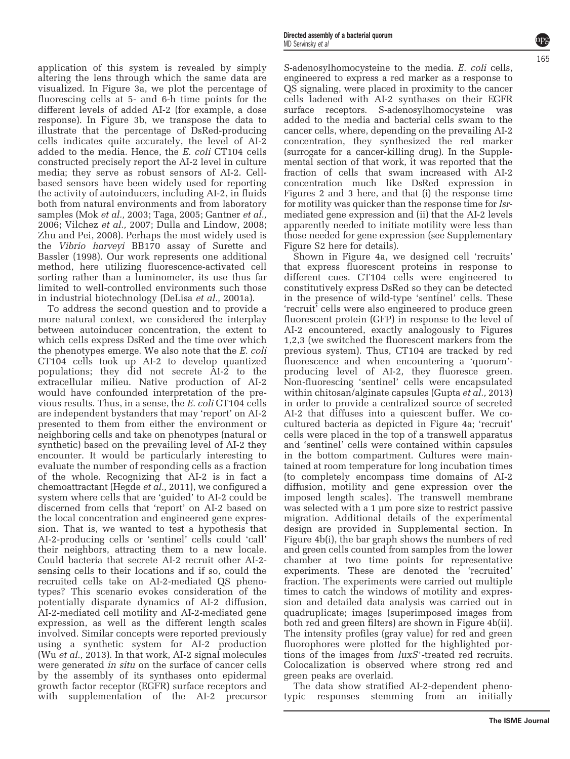Directed assembly of a bacterial quorum MD Servinsky et al

application of this system is revealed by simply altering the lens through which the same data are visualized. In [Figure 3a,](#page-6-0) we plot the percentage of fluorescing cells at 5- and 6-h time points for the different levels of added AI-2 (for example, a dose response). In [Figure 3b,](#page-6-0) we transpose the data to illustrate that the percentage of DsRed-producing cells indicates quite accurately, the level of AI-2 added to the media. Hence, the E. coli CT104 cells constructed precisely report the AI-2 level in culture media; they serve as robust sensors of AI-2. Cellbased sensors have been widely used for reporting the activity of autoinducers, including AI-2, in fluids both from natural environments and from laboratory samples (Mok [et al.,](#page-10-0) 2003; [Taga, 2005;](#page-11-0) Gantner et al., 2006; [Vilchez](#page-11-0) et al., 2007; Dulla and Lindow, 2008; [Zhu and Pei, 2008\)](#page-11-0). Perhaps the most widely used is the Vibrio harveyi BB170 assay of [Surette and](#page-11-0) [Bassler \(1998\)](#page-11-0). Our work represents one additional method, here utilizing fluorescence-activated cell sorting rather than a luminometer, its use thus far limited to well-controlled environments such those in industrial biotechnology ([DeLisa](#page-10-0) et al., 2001a).

To address the second question and to provide a more natural context, we considered the interplay between autoinducer concentration, the extent to which cells express DsRed and the time over which the phenotypes emerge. We also note that the E. coli CT104 cells took up AI-2 to develop quantized populations; they did not secrete AI-2 to the extracellular milieu. Native production of AI-2 would have confounded interpretation of the previous results. Thus, in a sense, the E. coli CT104 cells are independent bystanders that may 'report' on AI-2 presented to them from either the environment or neighboring cells and take on phenotypes (natural or synthetic) based on the prevailing level of AI-2 they encounter. It would be particularly interesting to evaluate the number of responding cells as a fraction of the whole. Recognizing that AI-2 is in fact a chemoattractant [\(Hegde](#page-10-0) et al., 2011), we configured a system where cells that are 'guided' to AI-2 could be discerned from cells that 'report' on AI-2 based on the local concentration and engineered gene expression. That is, we wanted to test a hypothesis that AI-2-producing cells or 'sentinel' cells could 'call' their neighbors, attracting them to a new locale. Could bacteria that secrete AI-2 recruit other AI-2 sensing cells to their locations and if so, could the recruited cells take on AI-2-mediated QS phenotypes? This scenario evokes consideration of the potentially disparate dynamics of AI-2 diffusion, AI-2-mediated cell motility and AI-2-mediated gene expression, as well as the different length scales involved. Similar concepts were reported previously using a synthetic system for AI-2 production (Wu [et al.,](#page-11-0) 2013). In that work, AI-2 signal molecules were generated in situ on the surface of cancer cells by the assembly of its synthases onto epidermal growth factor receptor (EGFR) surface receptors and with supplementation of the AI-2 precursor  $165$ 

S-adenosylhomocysteine to the media. E. coli cells, engineered to express a red marker as a response to QS signaling, were placed in proximity to the cancer cells ladened with AI-2 synthases on their EGFR surface receptors. S-adenosylhomocysteine was added to the media and bacterial cells swam to the cancer cells, where, depending on the prevailing AI-2 concentration, they synthesized the red marker (surrogate for a cancer-killing drug). In the Supplemental section of that work, it was reported that the fraction of cells that swam increased with AI-2 concentration much like DsRed expression in [Figures 2](#page-6-0) and [3](#page-6-0) here, and that (i) the response time for motility was quicker than the response time for *lsr*mediated gene expression and (ii) that the AI-2 levels apparently needed to initiate motility were less than those needed for gene expression (see Supplementary Figure S2 here for details).

Shown in [Figure 4a,](#page-8-0) we designed cell 'recruits' that express fluorescent proteins in response to different cues. CT104 cells were engineered to constitutively express DsRed so they can be detected in the presence of wild-type 'sentinel' cells. These 'recruit' cells were also engineered to produce green fluorescent protein (GFP) in response to the level of AI-2 encountered, exactly analogously to [Figures](#page-2-0) [1](#page-2-0),[2,3](#page-6-0) (we switched the fluorescent markers from the previous system). Thus, CT104 are tracked by red fluorescence and when encountering a 'quorum' producing level of AI-2, they fluoresce green. Non-fluorescing 'sentinel' cells were encapsulated within chitosan/alginate capsules ([Gupta](#page-10-0) et  $aI$ ., 2013) in order to provide a centralized source of secreted AI-2 that diffuses into a quiescent buffer. We cocultured bacteria as depicted in [Figure 4a](#page-8-0); 'recruit' cells were placed in the top of a transwell apparatus and 'sentinel' cells were contained within capsules in the bottom compartment. Cultures were maintained at room temperature for long incubation times (to completely encompass time domains of AI-2 diffusion, motility and gene expression over the imposed length scales). The transwell membrane was selected with a 1 μm pore size to restrict passive migration. Additional details of the experimental design are provided in Supplemental section. In [Figure 4b\(](#page-8-0)i), the bar graph shows the numbers of red and green cells counted from samples from the lower chamber at two time points for representative experiments. These are denoted the 'recruited' fraction. The experiments were carried out multiple times to catch the windows of motility and expression and detailed data analysis was carried out in quadruplicate; images (superimposed images from both red and green filters) are shown in [Figure 4b](#page-8-0)(ii). The intensity profiles (gray value) for red and green fluorophores were plotted for the highlighted portions of the images from  $luxS<sup>+</sup>$ -treated red recruits. Colocalization is observed where strong red and green peaks are overlaid.

The data show stratified AI-2-dependent phenotypic responses stemming from an initially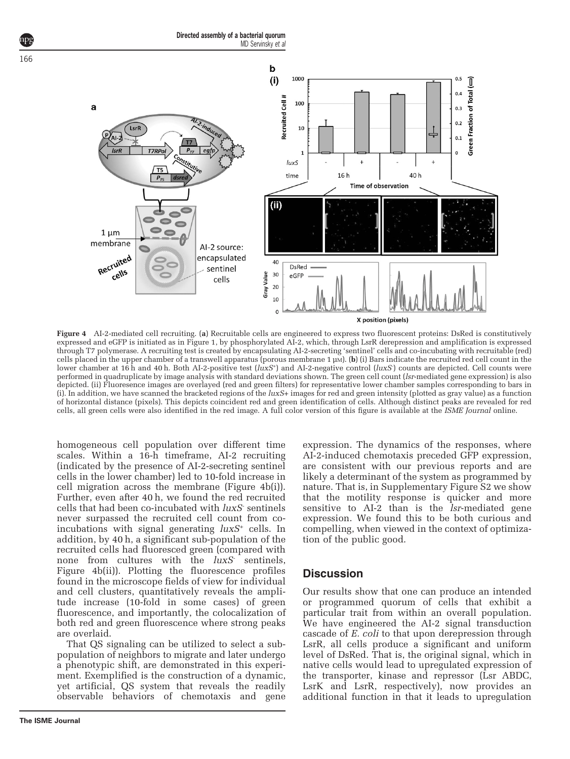

Figure 4 AI-2-mediated cell recruiting. (a) Recruitable cells are engineered to express two fluorescent proteins: DsRed is constitutively<br>expressed and eGFP is initiated as in [Figure 1](#page-2-0), by phosphorylated AI-2, which, throu through T7 polymerase. A recruiting test is created by encapsulating AI-2-secreting 'sentinel' cells and co-incubating with recruitable (red) cells placed in the upper chamber of a transwell apparatus (porous membrane 1 <sup>μ</sup>M). (b) (i) Bars indicate the recruited red cell count in the lower chamber at 16 h and 40 h. Both AI-2-positive test ( $luxS<sup>+</sup>$ ) and AI-2-negative control ( $luxS$ ) counts are depicted. Cell counts were performed in quadruplicate by image analysis with standard deviations shown. The green cell count (Isr-mediated gene expression) is also depicted. (ii) Fluoresence images are overlayed (red and green filters) for representative lower chamber samples corresponding to bars in (i). In addition, we have scanned the bracketed regions of the  $luxS+$  images for red and green intensity (plotted as gray value) as a function of horizontal distance (pixels). This depicts coincident red and green identification of cells. Although distinct peaks are revealed for red cells, all green cells were also identified in the red image. A full color version of this figure is available at the ISME Journal online.

homogeneous cell population over different time scales. Within a 16-h timeframe, AI-2 recruiting (indicated by the presence of AI-2-secreting sentinel cells in the lower chamber) led to 10-fold increase in cell migration across the membrane (Figure 4b(i)). Further, even after 40 h, we found the red recruited cells that had been co-incubated with luxS- sentinels never surpassed the recruited cell count from coincubations with signal generating  $luxS<sup>+</sup>$  cells. In addition, by 40 h, a significant sub-population of the recruited cells had fluoresced green (compared with none from cultures with the  $luxS$  sentinels, Figure 4b(ii)). Plotting the fluorescence profiles found in the microscope fields of view for individual and cell clusters, quantitatively reveals the amplitude increase (10-fold in some cases) of green fluorescence, and importantly, the colocalization of both red and green fluorescence where strong peaks are overlaid.

That QS signaling can be utilized to select a subpopulation of neighbors to migrate and later undergo a phenotypic shift, are demonstrated in this experiment. Exemplified is the construction of a dynamic, yet artificial, QS system that reveals the readily observable behaviors of chemotaxis and gene

<span id="page-8-0"></span>166

expression. The dynamics of the responses, where AI-2-induced chemotaxis preceded GFP expression, are consistent with our previous reports and are likely a determinant of the system as programmed by nature. That is, in Supplementary Figure S2 we show that the motility response is quicker and more sensitive to AI-2 than is the *lsr*-mediated gene expression. We found this to be both curious and compelling, when viewed in the context of optimization of the public good.

# **Discussion**

Our results show that one can produce an intended or programmed quorum of cells that exhibit a particular trait from within an overall population. We have engineered the AI-2 signal transduction cascade of E. coli to that upon derepression through LsrR, all cells produce a significant and uniform level of DsRed. That is, the original signal, which in native cells would lead to upregulated expression of the transporter, kinase and repressor (Lsr ABDC, LsrK and LsrR, respectively), now provides an additional function in that it leads to upregulation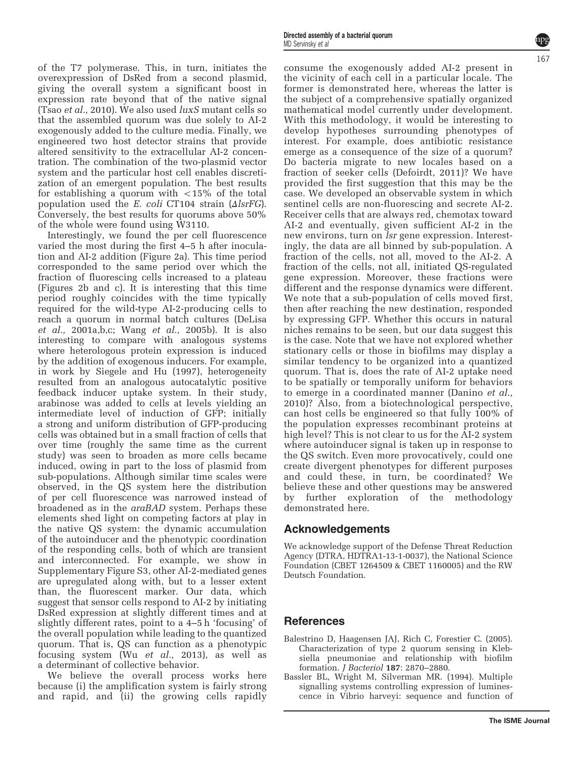<span id="page-9-0"></span>of the T7 polymerase. This, in turn, initiates the overexpression of DsRed from a second plasmid, giving the overall system a significant boost in expression rate beyond that of the native signal (Tsao [et al.,](#page-11-0) 2010). We also used luxS mutant cells so that the assembled quorum was due solely to AI-2 exogenously added to the culture media. Finally, we engineered two host detector strains that provide altered sensitivity to the extracellular AI-2 concentration. The combination of the two-plasmid vector system and the particular host cell enables discretization of an emergent population. The best results for establishing a quorum with  $\langle 15\%$  of the total population used the E. coli CT104 strain  $(\Delta l s r F G)$ . Conversely, the best results for quorums above 50% of the whole were found using W3110.

Interestingly, we found the per cell fluorescence varied the most during the first 4–5 h after inoculation and AI-2 addition [\(Figure 2a](#page-6-0)). This time period corresponded to the same period over which the fraction of fluorescing cells increased to a plateau ([Figures 2b and c\)](#page-6-0). It is interesting that this time period roughly coincides with the time typically required for the wild-type AI-2-producing cells to reach a quorum in normal batch cultures [\(DeLisa](#page-10-0) [et al.,](#page-11-0) 2001a, b, c; Wang et al., 2005b). It is also interesting to compare with analogous systems where heterologous protein expression is induced by the addition of exogenous inducers. For example, in work by [Siegele and Hu \(1997\)](#page-10-0), heterogeneity resulted from an analogous autocatalytic positive feedback inducer uptake system. In their study, arabinose was added to cells at levels yielding an intermediate level of induction of GFP; initially a strong and uniform distribution of GFP-producing cells was obtained but in a small fraction of cells that over time (roughly the same time as the current study) was seen to broaden as more cells became induced, owing in part to the loss of plasmid from sub-populations. Although similar time scales were observed, in the QS system here the distribution of per cell fluorescence was narrowed instead of broadened as in the araBAD system. Perhaps these elements shed light on competing factors at play in the native QS system: the dynamic accumulation of the autoinducer and the phenotypic coordination of the responding cells, both of which are transient and interconnected. For example, we show in Supplementary Figure S3, other AI-2-mediated genes are upregulated along with, but to a lesser extent than, the fluorescent marker. Our data, which suggest that sensor cells respond to AI-2 by initiating DsRed expression at slightly different times and at slightly different rates, point to a 4–5 h 'focusing' of the overall population while leading to the quantized quorum. That is, QS can function as a phenotypic focusing system (Wu [et al.,](#page-11-0) 2013), as well as a determinant of collective behavior.

We believe the overall process works here because (i) the amplification system is fairly strong and rapid, and (ii) the growing cells rapidly

consume the exogenously added AI-2 present in the vicinity of each cell in a particular locale. The former is demonstrated here, whereas the latter is the subject of a comprehensive spatially organized mathematical model currently under development. With this methodology, it would be interesting to develop hypotheses surrounding phenotypes of interest. For example, does antibiotic resistance emerge as a consequence of the size of a quorum? Do bacteria migrate to new locales based on a fraction of seeker cells ([Defoirdt, 2011\)](#page-10-0)? We have provided the first suggestion that this may be the case. We developed an observable system in which sentinel cells are non-fluorescing and secrete AI-2. Receiver cells that are always red, chemotax toward AI-2 and eventually, given sufficient AI-2 in the new environs, turn on *Isr* gene expression. Interestingly, the data are all binned by sub-population. A fraction of the cells, not all, moved to the AI-2. A fraction of the cells, not all, initiated QS-regulated gene expression. Moreover, these fractions were different and the response dynamics were different. We note that a sub-population of cells moved first, then after reaching the new destination, responded by expressing GFP. Whether this occurs in natural niches remains to be seen, but our data suggest this is the case. Note that we have not explored whether stationary cells or those in biofilms may display a similar tendency to be organized into a quantized quorum. That is, does the rate of AI-2 uptake need to be spatially or temporally uniform for behaviors to emerge in a coordinated manner ([Danino](#page-10-0) et al., [2010](#page-10-0))? Also, from a biotechnological perspective, can host cells be engineered so that fully 100% of the population expresses recombinant proteins at high level? This is not clear to us for the AI-2 system where autoinducer signal is taken up in response to the QS switch. Even more provocatively, could one create divergent phenotypes for different purposes and could these, in turn, be coordinated? We believe these and other questions may be answered by further exploration of the methodology demonstrated here.

## Acknowledgements

We acknowledge support of the Defense Threat Reduction Agency (DTRA, HDTRA1-13-1-0037), the National Science Foundation (CBET 1264509 & CBET 1160005) and the RW Deutsch Foundation.

## References

- Balestrino D, Haagensen JAJ, Rich C, Forestier C. (2005). Characterization of type 2 quorum sensing in Klebsiella pneumoniae and relationship with biofilm formation. J Bacteriol 187: 2870–2880.
- Bassler BL, Wright M, Silverman MR. (1994). Multiple signalling systems controlling expression of luminescence in Vibrio harveyi: sequence and function of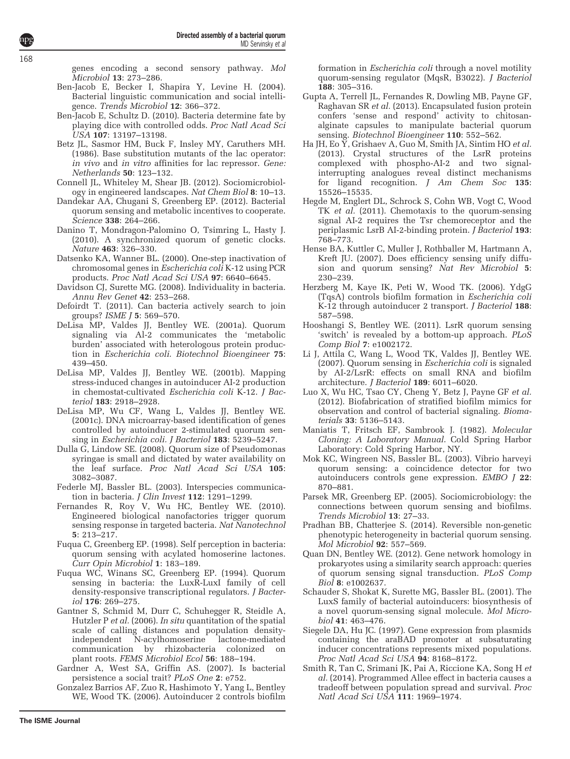<span id="page-10-0"></span>genes encoding a second sensory pathway. Mol Microbiol 13: 273–286.

- Ben-Jacob E, Becker I, Shapira Y, Levine H. (2004). Bacterial linguistic communication and social intelligence. Trends Microbiol 12: 366–372.
- Ben-Jacob E, Schultz D. (2010). Bacteria determine fate by playing dice with controlled odds. Proc Natl Acad Sci USA 107: 13197–13198.
- Betz JL, Sasmor HM, Buck F, Insley MY, Caruthers MH. (1986). Base substitution mutants of the lac operator: in vivo and in vitro affinities for lac repressor. Gene: Netherlands 50: 123–132.
- Connell JL, Whiteley M, Shear JB. (2012). Sociomicrobiology in engineered landscapes. Nat Chem Biol 8: 10–13.
- Dandekar AA, Chugani S, Greenberg EP. (2012). Bacterial quorum sensing and metabolic incentives to cooperate. Science 338: 264–266.
- Danino T, Mondragon-Palomino O, Tsimring L, Hasty J. (2010). A synchronized quorum of genetic clocks. Nature 463: 326–330.
- Datsenko KA, Wanner BL. (2000). One-step inactivation of chromosomal genes in Escherichia coli K-12 using PCR products. Proc Natl Acad Sci USA 97: 6640–6645.
- Davidson CJ, Surette MG. (2008). Individuality in bacteria. Annu Rev Genet 42: 253–268.
- Defoirdt T. (2011). Can bacteria actively search to join groups? ISME J 5: 569–570.
- DeLisa MP, Valdes JJ, Bentley WE. (2001a). Quorum signaling via Al-2 communicates the 'metabolic burden' associated with heterologous protein production in Escherichia coli. Biotechnol Bioengineer 75: 439–450.
- DeLisa MP, Valdes JJ, Bentley WE. (2001b). Mapping stress-induced changes in autoinducer AI-2 production in chemostat-cultivated Escherichia coli K-12. J Bacteriol 183: 2918–2928.
- DeLisa MP, Wu CF, Wang L, Valdes JJ, Bentley WE. (2001c). DNA microarray-based identification of genes controlled by autoinducer 2-stimulated quorum sensing in Escherichia coli. J Bacteriol 183: 5239–5247.
- Dulla G, Lindow SE. (2008). Quorum size of Pseudomonas syringae is small and dictated by water availability on the leaf surface. Proc Natl Acad Sci USA 105: 3082–3087.
- Federle MJ, Bassler BL. (2003). Interspecies communication in bacteria. *J Clin Invest* 112: 1291-1299.
- Fernandes R, Roy V, Wu HC, Bentley WE. (2010). Engineered biological nanofactories trigger quorum sensing response in targeted bacteria. Nat Nanotechnol
- 5: 213–217. Fuqua C, Greenberg EP. (1998). Self perception in bacteria: quorum sensing with acylated homoserine lactones. Curr Opin Microbiol 1: 183–189.
- Fuqua WC, Winans SC, Greenberg EP. (1994). Quorum sensing in bacteria: the LuxR-LuxI family of cell density-responsive transcriptional regulators. J Bacteriol 176: 269–275.
- Gantner S, Schmid M, Durr C, Schuhegger R, Steidle A, Hutzler P et al. (2006). In situ quantitation of the spatial scale of calling distances and population densityindependent N-acylhomoserine lactone-mediated communication by rhizobacteria colonized on plant roots. FEMS Microbiol Ecol 56: 188–194.
- Gardner A, West SA, Griffin AS. (2007). Is bacterial persistence a social trait? PLoS One 2: e752.
- Gonzalez Barrios AF, Zuo R, Hashimoto Y, Yang L, Bentley WE, Wood TK. (2006). Autoinducer 2 controls biofilm

formation in Escherichia coli through a novel motility quorum-sensing regulator (MqsR, B3022). J Bacteriol 188: 305–316.

- Gupta A, Terrell JL, Fernandes R, Dowling MB, Payne GF, Raghavan SR et al. (2013). Encapsulated fusion protein confers 'sense and respond' activity to chitosanalginate capsules to manipulate bacterial quorum sensing. Biotechnol Bioengineer 110: 552–562.
- Ha JH, Eo Y, Grishaev A, Guo M, Smith JA, Sintim HO et al. (2013). Crystal structures of the LsrR proteins complexed with phospho-AI-2 and two signalinterrupting analogues reveal distinct mechanisms for ligand recognition. *J Am Chem Soc* 135: 15526–15535.
- Hegde M, Englert DL, Schrock S, Cohn WB, Vogt C, Wood TK *et al.* (2011). Chemotaxis to the quorum-sensing signal AI-2 requires the Tsr chemoreceptor and the periplasmic LsrB AI-2-binding protein. *J Bacteriol* 193: 768–773.
- Hense BA, Kuttler C, Muller J, Rothballer M, Hartmann A, Kreft JU. (2007). Does efficiency sensing unify diffusion and quorum sensing? Nat Rev Microbiol 5: 230–239.
- Herzberg M, Kaye IK, Peti W, Wood TK. (2006). YdgG (TqsA) controls biofilm formation in Escherichia coli K-12 through autoinducer 2 transport. J Bacteriol 188: 587–598.
- Hooshangi S, Bentley WE. (2011). LsrR quorum sensing 'switch' is revealed by a bottom-up approach. PLoS Comp Biol 7: e1002172.
- Li J, Attila C, Wang L, Wood TK, Valdes JJ, Bentley WE. (2007). Quorum sensing in Escherichia coli is signaled by AI-2/LsrR: effects on small RNA and biofilm architecture. J Bacteriol 189: 6011–6020.
- Luo X, Wu HC, Tsao CY, Cheng Y, Betz J, Payne GF et al. (2012). Biofabrication of stratified biofilm mimics for observation and control of bacterial signaling. Biomaterials 33: 5136–5143.
- Maniatis T, Fritsch EF, Sambrook J. (1982). Molecular Cloning: A Laboratory Manual. Cold Spring Harbor Laboratory: Cold Spring Harbor, NY.
- Mok KC, Wingreen NS, Bassler BL. (2003). Vibrio harveyi quorum sensing: a coincidence detector for two autoinducers controls gene expression. EMBO J 22: 870–881.
- Parsek MR, Greenberg EP. (2005). Sociomicrobiology: the connections between quorum sensing and biofilms. Trends Microbiol 13: 27–33.
- Pradhan BB, Chatterjee S. (2014). Reversible non-genetic phenotypic heterogeneity in bacterial quorum sensing. Mol Microbiol 92: 557–569.
- Quan DN, Bentley WE. (2012). Gene network homology in prokaryotes using a similarity search approach: queries of quorum sensing signal transduction. PLoS Comp Biol 8: e1002637.
- Schauder S, Shokat K, Surette MG, Bassler BL. (2001). The LuxS family of bacterial autoinducers: biosynthesis of a novel quorum-sensing signal molecule. Mol Microbiol 41: 463–476.
- Siegele DA, Hu JC. (1997). Gene expression from plasmids containing the araBAD promoter at subsaturating inducer concentrations represents mixed populations. Proc Natl Acad Sci USA 94: 8168–8172.
- Smith R, Tan C, Srimani JK, Pai A, Riccione KA, Song H et al. (2014). Programmed Allee effect in bacteria causes a tradeoff between population spread and survival. Proc Natl Acad Sci USA 111: 1969–1974.